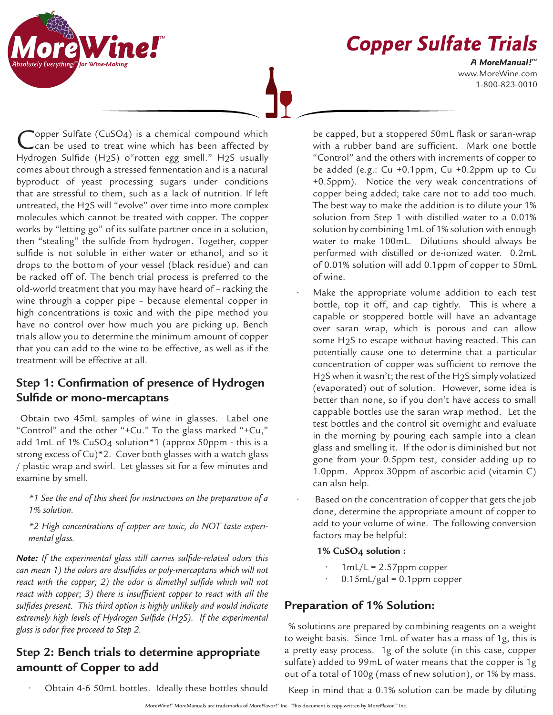**Copper Sulfate Trials**

www.MoreWine.com 1-800-823-0010 **A MoreManual! ™**

"opper Sulfate ( $CuSO<sub>4</sub>$ ) is a chemical compound which can be used to treat wine which has been affected by Hydrogen Sulfide (H2S) o"rotten egg smell." H2S usually comes about through a stressed fermentation and is a natural byproduct of yeast processing sugars under conditions that are stressful to them, such as a lack of nutrition. If left untreated, the H2S will "evolve" over time into more complex molecules which cannot be treated with copper. The copper works by "letting go" of its sulfate partner once in a solution, then "stealing" the sulfide from hydrogen. Together, copper sulfide is not soluble in either water or ethanol, and so it drops to the bottom of your vessel (black residue) and can be racked off of. The bench trial process is preferred to the old-world treatment that you may have heard of – racking the wine through a copper pipe – because elemental copper in high concentrations is toxic and with the pipe method you have no control over how much you are picking up. Bench trials allow you to determine the minimum amount of copper that you can add to the wine to be effective, as well as if the treatment will be effective at all.

## **Step 1: Confirmation of presence of Hydrogen Sulfide or mono-mercaptans**

Obtain two 45mL samples of wine in glasses. Label one "Control" and the other "+Cu." To the glass marked "+Cu," add 1mL of 1% CuSO4 solution\*1 (approx 50ppm - this is a strong excess of Cu)\*2. Cover both glasses with a watch glass / plastic wrap and swirl. Let glasses sit for a few minutes and examine by smell.

*\*1 See the end of this sheet for instructions on the preparation of a 1% solution.*

*\*2 High concentrations of copper are toxic, do NOT taste experimental glass.*

*Note: If the experimental glass still carries sulfide-related odors this can mean 1) the odors are disulfides or poly-mercaptans which will not react with the copper; 2) the odor is dimethyl sulfide which will not react with copper; 3) there is insufficient copper to react with all the sulfides present. This third option is highly unlikely and would indicate extremely high levels of Hydrogen Sulfide (H2S). If the experimental glass is odor free proceed to Step 2.*

## **Step 2: Bench trials to determine appropriate amountt of Copper to add**

be capped, but a stoppered 50mL flask or saran-wrap with a rubber band are sufficient. Mark one bottle "Control" and the others with increments of copper to be added (e.g.: Cu +0.1ppm, Cu +0.2ppm up to Cu +0.5ppm). Notice the very weak concentrations of copper being added; take care not to add too much. The best way to make the addition is to dilute your 1% solution from Step 1 with distilled water to a 0.01% solution by combining 1mL of 1% solution with enough water to make 100mL. Dilutions should always be performed with distilled or de-ionized water. 0.2mL of 0.01% solution will add 0.1ppm of copper to 50mL of wine.

- Make the appropriate volume addition to each test bottle, top it off, and cap tightly. This is where a capable or stoppered bottle will have an advantage over saran wrap, which is porous and can allow some H2S to escape without having reacted. This can potentially cause one to determine that a particular concentration of copper was sufficient to remove the H<sub>2</sub>S when it wasn't; the rest of the H<sub>2</sub>S simply volatized (evaporated) out of solution. However, some idea is better than none, so if you don't have access to small cappable bottles use the saran wrap method. Let the test bottles and the control sit overnight and evaluate in the morning by pouring each sample into a clean glass and smelling it. If the odor is diminished but not gone from your 0.5ppm test, consider adding up to 1.0ppm. Approx 30ppm of ascorbic acid (vitamin C) can also help.
- Based on the concentration of copper that gets the job done, determine the appropriate amount of copper to add to your volume of wine. The following conversion factors may be helpful:

## **1% CuSO4 solution :**

- $1mL/L = 2.57$ ppm copper
- $0.15$ m $L/gal = 0.1$ ppm copper

## **Preparation of 1% Solution:**

% solutions are prepared by combining reagents on a weight to weight basis. Since 1mL of water has a mass of 1g, this is a pretty easy process. 1g of the solute (in this case, copper sulfate) added to 99mL of water means that the copper is 1g out of a total of 100g (mass of new solution), or 1% by mass.

• Obtain 4-6 50mL bottles. Ideally these bottles should

Keep in mind that a 0.1% solution can be made by diluting